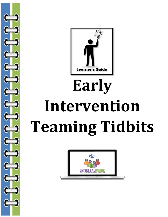

# **Early Intervention Teaming Tidbits**

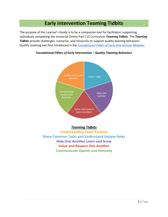# **Early Intervention Teaming Tidbits**

The purpose of this Learner's Guide is to be a companion tool for facilitators supporting individuals completing the Universal Online Part C EI Curriculum *Teaming Tidbits.* The *Teaming Tidbits* provide challenges, scenarios, and resources to support quality teaming behaviors. Quality teaming was first introduced in the *[Foundational Pillars of Early Intervention Modules](http://universalonlinepartceicurriculum.pbworks.com/w/page/100926430/Foundational%20Pillars%20of%20Early%20Intervention)*.



*Foundational Pillars of Early Intervention – Quality Teaming Behaviors*

# *Teaming Tidbits*

**Understanding Team Purpose Share Common Tasks and Understand Unique Roles Help One Another Learn and Grow Value and Respect One Another Communicate Openly and Honestly**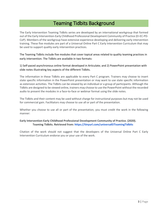# Teaming Tidbits Background

The Early Intervention Teaming Tidbits series are developed by an international workgroup that formed out of the Early Intervention-Early Childhood Professional Development Community of Practice (EI-EC-PD-CoP). Members of the workgroup have extensive experience developing and delivering early intervention training. These five modules are part of a Universal Online Part C Early Intervention Curriculum that may be used to support quality early intervention practices.

The Teaming Tidbits include five modules that cover topical areas related to quality teaming practices in early intervention. The Tidbits are available in two formats:

1) Self-paced asynchronous online format developed in Articulate; and 2) PowerPoint presentation with slide notes illustrating key aspects of the different Tidbits.

The information in these Tidbits are applicable to every Part C program. Trainers may choose to insert state specific information in the PowerPoint presentation or may want to use state specific information as extension activities. The Tidbits can be viewed by an individual or a group of participants. Although the Tidbits are designed to be viewed online, trainers may choose to use the PowerPoint without the recorded audio to present the modules in a face-to-face or webinar format using the slide notes.

The Tidbits and their content may be used without charge for instructional purposes but may not be used for commercial gain. Facilitators may choose to use all or part of the presentation.

Whether you choose to use all or part of the presentation, you must credit the work in the following manner:

## **Early Intervention-Early Childhood Professional Development Community of Practice. (2020). Teaming Tidbits. Retrieved from: [https://tinyurl.com/universalEITeamingTidbits](https://urldefense.proofpoint.com/v2/url?u=https-3A__tinyurl.com_universalEITeamingTidbits&d=DwMFaQ&c=Cu5g146wZdoqVuKpTNsYHeFX_rg6kWhlkLF8Eft-wwo&r=JL_jdF61e7o6lhsIB-pDDMItIKJY4gyjN9_wpLCQHKA&m=z34dZgLdFrP-ic0reV0XkTpV6o3zVGyB6tXb0rWE7MA&s=0sjkN9h-fIbM05gq1Z_37kBwbLNcUkLOO_xcoOCe550&e=)**

Citation of the work should not suggest that the developers of the Universal Online Part C Early Intervention Curriculum endorse you or your use of the work.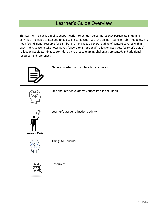# Learner's Guide Overview

This Learner's Guide is a tool to support early intervention personnel as they participate in training activities. The guide is intended to be used in conjunction with the online "Teaming Tidbit" modules. It is not a "stand alone" resource for distribution. It includes a general outline of content covered within each Tidbit, space to take notes as you follow along, "optional" reflection activities, "Learner's Guide" reflection activities, things to consider as it relates to teaming challenges presented, and additional resources and references.

|                 | General content and a place to take notes            |
|-----------------|------------------------------------------------------|
|                 | Optional reflective activity suggested in the Tidbit |
| Learner's Guide | Learner's Guide reflection activity                  |
|                 | Things to Consider                                   |
|                 | Resources                                            |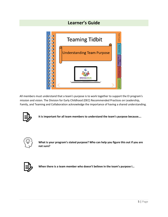# **Learner's Guide**



All members must understand that a team's purpose is to work together to support the EI program's mission and vision. The Division for Early Childhood (DEC) Recommended Practices on Leadership, Family, and Teaming and Collaboration acknowledge the importance of having a shared understanding.



**It is important for all team members to understand the team's purpose because….**



**What is your program's stated purpose? Who can help you figure this out if you are not sure?**



**When there is a team member who doesn't believe in the team's purpose I…**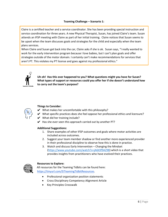## **Teaming Challenge – Scenario 1:**

Claire is a certified teacher and a service coordinator. She has been providing special instruction and service coordination for three years. A new Physical Therapist, Susan, has joined Claire's team. Susan attends an IFSP meeting with Claire as part of her initial training. Claire notices that Susan seems to be upset when the team discusses goals and strategies for the child and especially when the team plans services.

When Claire and Susan get back into the car, Claire asks if she is ok. Susan says, "I really wanted to work for the early intervention program because I love babies, but I can't plan goals and offer strategies outside of the motor domain. I certainly can't make recommendations for services that aren't PT. This violates my PT license and goes against my professional ethics."



**Uh oh! Has this ever happened to you? What questions might you have for Susan? What types of support or resources could you offer her if she doesn't understand how to carry out the team's purpose?**



# **Things to Consider:**

- $\vee$  What makes her uncomfortable with this philosophy?
- $\vee$  What specific practices does she feel oppose her professional ethics and licensure?
- $\vee$  What did her training include?
- $\mathcal V$  Has she ever seen this approach carried out by another PT?

## **Additional Suggestions:**

- 1. Share examples of other IFSP outcomes and goals where motor activities are included across outcomes.
- 2. Suggest your team member shadow or find another more experienced provider in their professional discipline to observe how this is done in practice.
- 3. Watch and discuss Early Intervention Changing the Mindset [\(https://www.youtube.com/watch?v=jA6IOf9A298\)](https://www.youtube.com/watch?v=jA6IOf9A298) which is a short video that provides insights from practitioners who have evolved their practices.



## **Resources to Explore:**

All resources for the Teaming Tidbits can be found here: [https://tinyurl.com/EITeamingTidbitResources.](https://tinyurl.com/EITeamingTidbitResources)

- Professional organization position statements
- Cross Disciplinary Competency Alignment Article
- Key Principles Crosswalk